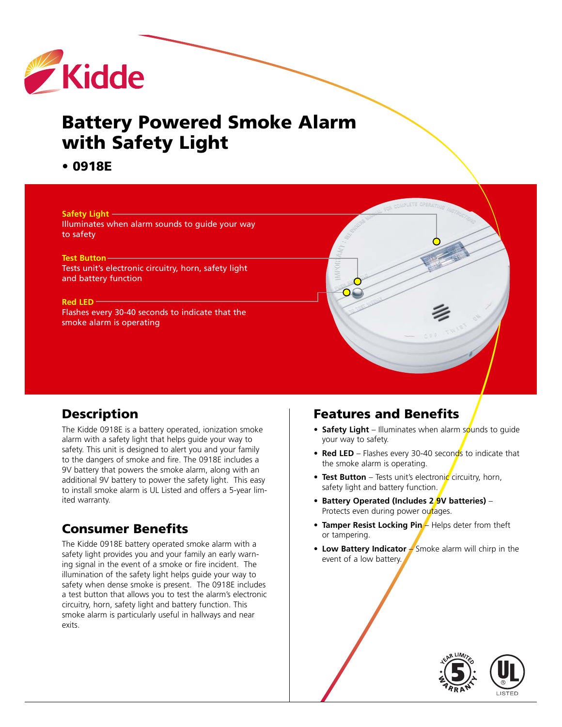

# **Battery Powered Smoke Alarm with Safety Light**

**• 0918E**



# **Description**

The Kidde 0918E is a battery operated, ionization smoke alarm with a safety light that helps guide your way to safety. This unit is designed to alert you and your family to the dangers of smoke and fire. The 0918E includes a 9V battery that powers the smoke alarm, along with an additional 9V battery to power the safety light. This easy to install smoke alarm is UL Listed and offers a 5-year limited warranty.

# **Consumer Benefits**

The Kidde 0918E battery operated smoke alarm with a safety light provides you and your family an early warning signal in the event of a smoke or fire incident. The illumination of the safety light helps guide your way to safety when dense smoke is present. The 0918E includes a test button that allows you to test the alarm's electronic circuitry, horn, safety light and battery function. This smoke alarm is particularly useful in hallways and near exits.

# **Features and Benefits**

- **Safety Light** Illuminates when alarm sounds to guide your way to safety.
- **Red LED** Flashes every 30-40 seconds to indicate that the smoke alarm is operating.
- **Test Button** Tests unit's electronic circuitry, horn, safety light and battery function.
- **• Battery Operated (Includes 2 9V batteries)** Protects even during power outages.
- **Tamper Resist Locking Pin** Helps deter from theft or tampering.
- **• Low Battery Indicator** Smoke alarm will chirp in the event of a low battery.